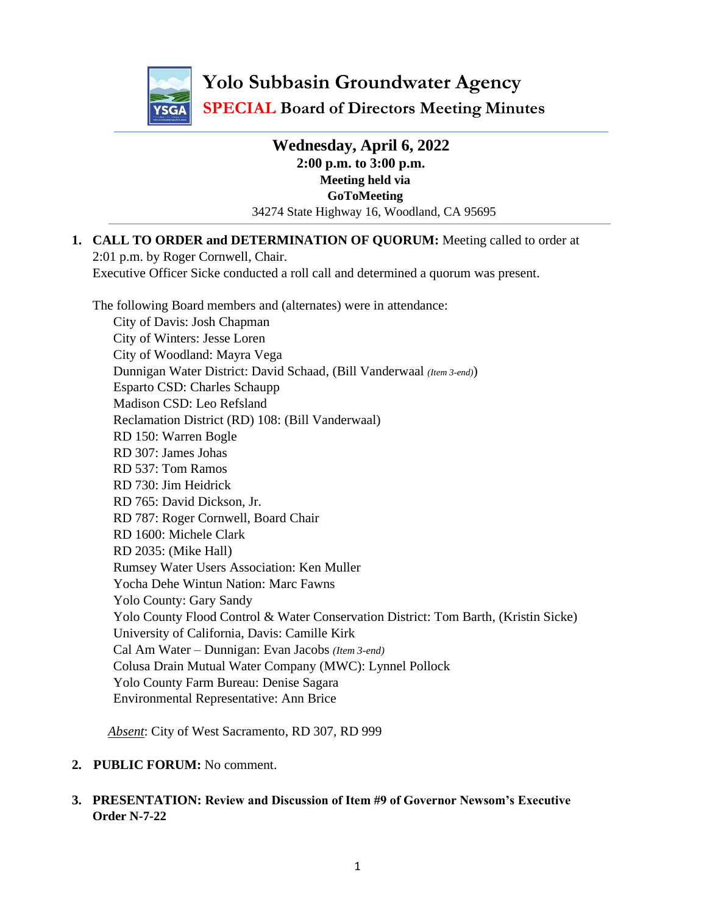

**Yolo Subbasin Groundwater Agency SPECIAL Board of Directors Meeting Minutes**

> **Wednesday, April 6, 2022 2:00 p.m. to 3:00 p.m. Meeting held via GoToMeeting** 34274 State Highway 16, Woodland, CA 95695

**1. CALL TO ORDER and DETERMINATION OF QUORUM:** Meeting called to order at 2:01 p.m. by Roger Cornwell, Chair. Executive Officer Sicke conducted a roll call and determined a quorum was present.

The following Board members and (alternates) were in attendance:

City of Davis: Josh Chapman City of Winters: Jesse Loren City of Woodland: Mayra Vega Dunnigan Water District: David Schaad, (Bill Vanderwaal *(Item 3-end)*) Esparto CSD: Charles Schaupp Madison CSD: Leo Refsland Reclamation District (RD) 108: (Bill Vanderwaal) RD 150: Warren Bogle RD 307: James Johas RD 537: Tom Ramos RD 730: Jim Heidrick RD 765: David Dickson, Jr. RD 787: Roger Cornwell, Board Chair RD 1600: Michele Clark RD 2035: (Mike Hall) Rumsey Water Users Association: Ken Muller Yocha Dehe Wintun Nation: Marc Fawns Yolo County: Gary Sandy Yolo County Flood Control & Water Conservation District: Tom Barth, (Kristin Sicke) University of California, Davis: Camille Kirk Cal Am Water – Dunnigan: Evan Jacobs *(Item 3-end)* Colusa Drain Mutual Water Company (MWC): Lynnel Pollock Yolo County Farm Bureau: Denise Sagara Environmental Representative: Ann Brice

*Absent*: City of West Sacramento, RD 307, RD 999

- **2. PUBLIC FORUM:** No comment.
- **3. PRESENTATION: Review and Discussion of Item #9 of Governor Newsom's Executive Order N-7-22**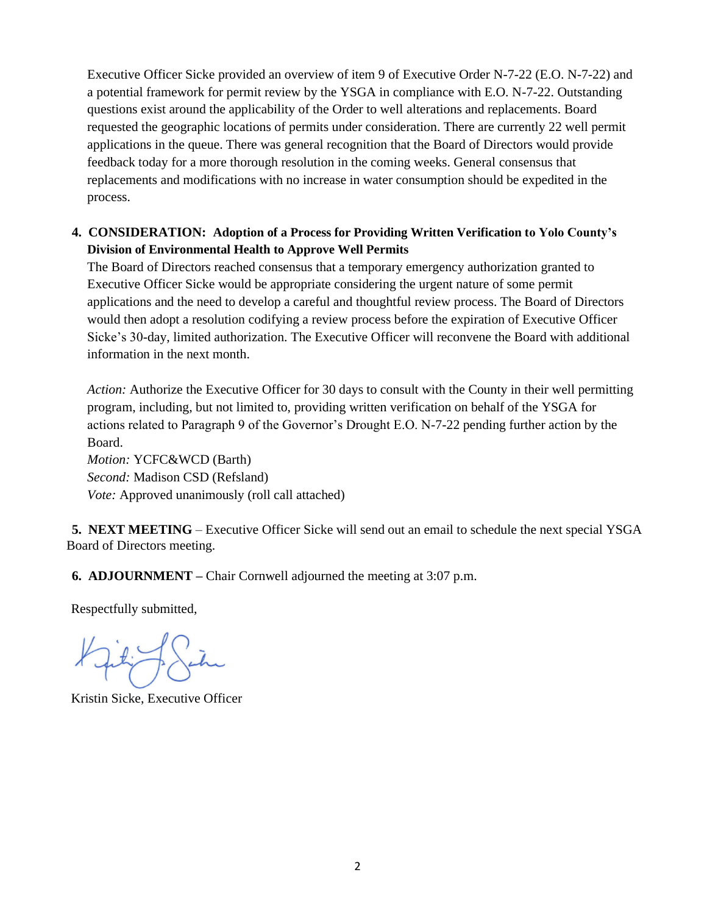Executive Officer Sicke provided an overview of item 9 of Executive Order N-7-22 (E.O. N-7-22) and a potential framework for permit review by the YSGA in compliance with E.O. N-7-22. Outstanding questions exist around the applicability of the Order to well alterations and replacements. Board requested the geographic locations of permits under consideration. There are currently 22 well permit applications in the queue. There was general recognition that the Board of Directors would provide feedback today for a more thorough resolution in the coming weeks. General consensus that replacements and modifications with no increase in water consumption should be expedited in the process.

## **4. CONSIDERATION: Adoption of a Process for Providing Written Verification to Yolo County's Division of Environmental Health to Approve Well Permits**

The Board of Directors reached consensus that a temporary emergency authorization granted to Executive Officer Sicke would be appropriate considering the urgent nature of some permit applications and the need to develop a careful and thoughtful review process. The Board of Directors would then adopt a resolution codifying a review process before the expiration of Executive Officer Sicke's 30-day, limited authorization. The Executive Officer will reconvene the Board with additional information in the next month.

*Action:* Authorize the Executive Officer for 30 days to consult with the County in their well permitting program, including, but not limited to, providing written verification on behalf of the YSGA for actions related to Paragraph 9 of the Governor's Drought E.O. N-7-22 pending further action by the Board.

*Motion:* YCFC&WCD (Barth) *Second:* Madison CSD (Refsland) *Vote:* Approved unanimously (roll call attached)

**5. NEXT MEETING** – Executive Officer Sicke will send out an email to schedule the next special YSGA Board of Directors meeting.

**6. ADJOURNMENT –** Chair Cornwell adjourned the meeting at 3:07 p.m.

Respectfully submitted,

Kristin Sicke, Executive Officer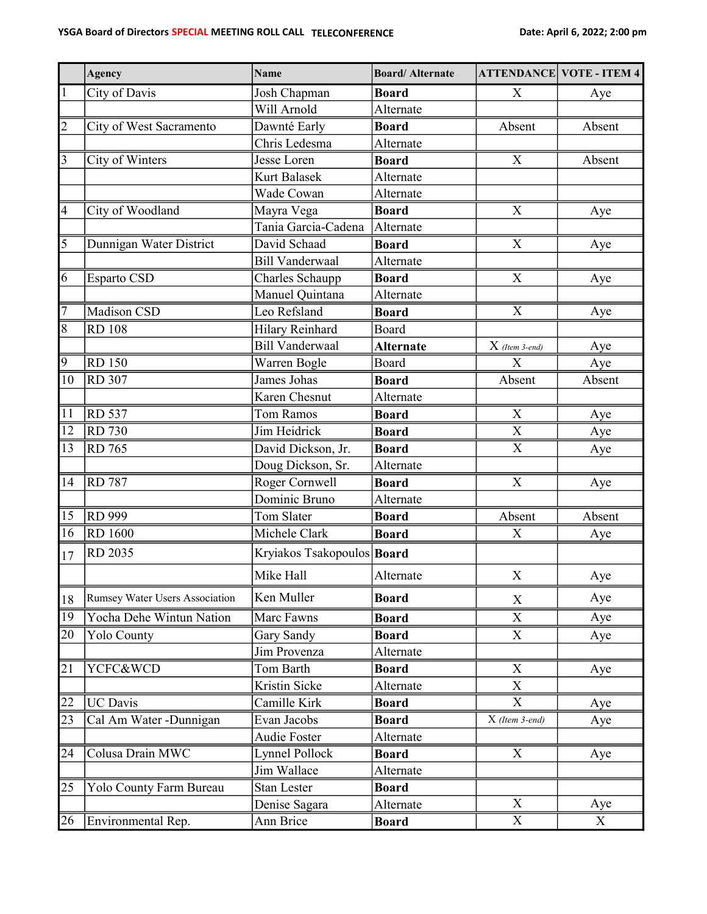|                         | <b>Agency</b>                  | <b>Name</b>                | <b>Board/Alternate</b> |                  | <b>ATTENDANCE VOTE - ITEM 4</b> |
|-------------------------|--------------------------------|----------------------------|------------------------|------------------|---------------------------------|
| $\mathbf 1$             | City of Davis                  | Josh Chapman               | <b>Board</b>           | X                | Aye                             |
|                         |                                | Will Arnold                | Alternate              |                  |                                 |
| $\overline{c}$          | City of West Sacramento        | Dawnté Early               | <b>Board</b>           | Absent           | Absent                          |
|                         |                                | Chris Ledesma              | Alternate              |                  |                                 |
| $\overline{\mathbf{3}}$ | City of Winters                | Jesse Loren                | <b>Board</b>           | X                | Absent                          |
|                         |                                | Kurt Balasek               | Alternate              |                  |                                 |
|                         |                                | Wade Cowan                 | Alternate              |                  |                                 |
| $\overline{4}$          | City of Woodland               | Mayra Vega                 | <b>Board</b>           | $\overline{X}$   | Aye                             |
|                         |                                | Tania Garcia-Cadena        | Alternate              |                  |                                 |
| 5                       | Dunnigan Water District        | David Schaad               | <b>Board</b>           | X                | Aye                             |
|                         |                                | <b>Bill Vanderwaal</b>     | Alternate              |                  |                                 |
| 6                       | Esparto CSD                    | Charles Schaupp            | <b>Board</b>           | X                | Aye                             |
|                         |                                | Manuel Quintana            | Alternate              |                  |                                 |
| $\overline{7}$          | Madison CSD                    | Leo Refsland               | <b>Board</b>           | X                | Aye                             |
| 8                       | <b>RD 108</b>                  | Hilary Reinhard            | Board                  |                  |                                 |
|                         |                                | <b>Bill Vanderwaal</b>     | <b>Alternate</b>       | $X$ (Item 3-end) | Aye                             |
| $\overline{9}$          | <b>RD 150</b>                  | Warren Bogle               | Board                  | X                | Aye                             |
| $\overline{10}$         | <b>RD</b> 307                  | James Johas                | <b>Board</b>           | Absent           | Absent                          |
|                         |                                | Karen Chesnut              | Alternate              |                  |                                 |
| $\overline{11}$         | <b>RD</b> 537                  | Tom Ramos                  | <b>Board</b>           | X                | Aye                             |
| $\overline{12}$         | <b>RD</b> 730                  | Jim Heidrick               | <b>Board</b>           | $\mathbf X$      | Aye                             |
| $\overline{13}$         | <b>RD</b> 765                  | David Dickson, Jr.         | <b>Board</b>           | X                | Aye                             |
|                         |                                | Doug Dickson, Sr.          | Alternate              |                  |                                 |
| 14                      | <b>RD</b> 787                  | Roger Cornwell             | <b>Board</b>           | X                | Aye                             |
|                         |                                | Dominic Bruno              | Alternate              |                  |                                 |
| 15                      | <b>RD</b> 999                  | Tom Slater                 | <b>Board</b>           | Absent           | Absent                          |
| $\overline{16}$         | <b>RD</b> 1600                 | Michele Clark              | <b>Board</b>           | X                | Aye                             |
| 17                      | RD 2035                        | Kryiakos Tsakopoulos Board |                        |                  |                                 |
|                         |                                | Mike Hall                  | Alternate              | X                | Aye                             |
| 18                      | Rumsey Water Users Association | Ken Muller                 | <b>Board</b>           | X                | Aye                             |
| $\overline{19}$         | Yocha Dehe Wintun Nation       | Marc Fawns                 | <b>Board</b>           | X                | Aye                             |
| 20                      | <b>Yolo County</b>             | Gary Sandy                 | <b>Board</b>           | X                | Aye                             |
|                         |                                | Jim Provenza               | Alternate              |                  |                                 |
| 21                      | YCFC&WCD                       | Tom Barth                  | <b>Board</b>           | X                | Aye                             |
|                         |                                | Kristin Sicke              | Alternate              | $\mathbf X$      |                                 |
| 22                      | <b>UC</b> Davis                | Camille Kirk               | <b>Board</b>           | X                | Aye                             |
| 23                      | Cal Am Water -Dunnigan         | Evan Jacobs                | <b>Board</b>           | X (Item 3-end)   | Aye                             |
|                         |                                | Audie Foster               | Alternate              |                  |                                 |
| 24                      | Colusa Drain MWC               | <b>Lynnel Pollock</b>      | <b>Board</b>           | X                | Aye                             |
|                         |                                | Jim Wallace                | Alternate              |                  |                                 |
| 25                      | Yolo County Farm Bureau        | Stan Lester                | <b>Board</b>           |                  |                                 |
|                         |                                | Denise Sagara              | Alternate              | X                | Aye                             |
| 26                      | Environmental Rep.             | Ann Brice                  | <b>Board</b>           | $\overline{X}$   | X                               |